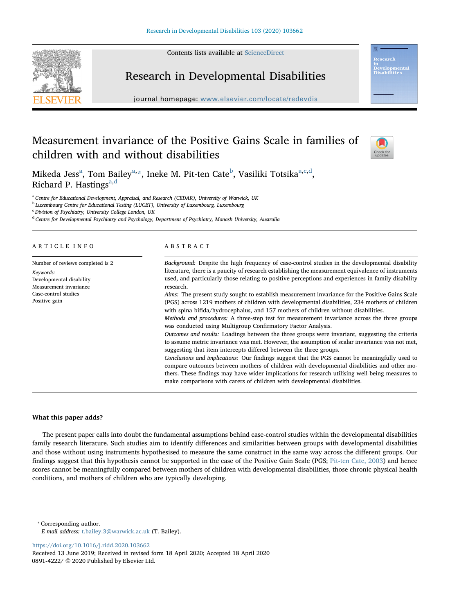Contents lists available at [ScienceDirect](http://www.sciencedirect.com/science/journal/08914222)



# Research in Developmental Disabilities

journal homepage: [www.elsevier.com/locate/redevdis](https://www.elsevier.com/locate/redevdis)

## Measurement invariance of the Positive Gains Scale in families of children with and without disabilities



relopment<br>abilities

Miked[a](#page-0-0) Jess<sup>a</sup>, Tom Bailey<sup>[a,](#page-0-0)</sup>[\\*](#page-0-1), Ineke M. Pit-ten Cate<sup>[b](#page-0-2)</sup>, Vasiliki Totsika<sup>a[,c](#page-0-3)[,d](#page-0-4)</sup>, Richard P. Hastings<sup>[a,](#page-0-0)[d](#page-0-4)</sup>

<span id="page-0-0"></span><sup>a</sup> Centre for Educational Development, Appraisal, and Research (CEDAR), University of Warwick, UK

<span id="page-0-2"></span><sup>b</sup> Luxembourg Centre for Educational Testing (LUCET), University of Luxembourg, Luxembourg

<span id="page-0-3"></span> $c$  Division of Psychiatry, University College London, UK

<span id="page-0-4"></span><sup>d</sup> Centre for Developmental Psychiatry and Psychology, Department of Psychiatry, Monash University, Australia

## ARTICLE INFO

Number of reviews completed is 2 Keywords: Developmental disability Measurement invariance Case-control studies Positive gain

#### ABSTRACT

Background: Despite the high frequency of case-control studies in the developmental disability literature, there is a paucity of research establishing the measurement equivalence of instruments used, and particularly those relating to positive perceptions and experiences in family disability research. Aims: The present study sought to establish measurement invariance for the Positive Gains Scale

(PGS) across 1219 mothers of children with developmental disabilities, 234 mothers of children with spina bifida/hydrocephalus, and 157 mothers of children without disabilities.

Methods and procedures: A three-step test for measurement invariance across the three groups was conducted using Multigroup Confirmatory Factor Analysis.

Outcomes and results: Loadings between the three groups were invariant, suggesting the criteria to assume metric invariance was met. However, the assumption of scalar invariance was not met, suggesting that item intercepts differed between the three groups.

Conclusions and implications: Our findings suggest that the PGS cannot be meaningfully used to compare outcomes between mothers of children with developmental disabilities and other mothers. These findings may have wider implications for research utilising well-being measures to make comparisons with carers of children with developmental disabilities.

## What this paper adds?

The present paper calls into doubt the fundamental assumptions behind case-control studies within the developmental disabilities family research literature. Such studies aim to identify differences and similarities between groups with developmental disabilities and those without using instruments hypothesised to measure the same construct in the same way across the different groups. Our findings suggest that this hypothesis cannot be supported in the case of the Positive Gain Scale (PGS; [Pit-ten Cate, 2003\)](#page-6-0) and hence scores cannot be meaningfully compared between mothers of children with developmental disabilities, those chronic physical health conditions, and mothers of children who are typically developing.

<span id="page-0-1"></span>⁎ Corresponding author. E-mail address: [t.bailey.3@warwick.ac.uk](mailto:t.bailey.3@warwick.ac.uk) (T. Bailey).

<https://doi.org/10.1016/j.ridd.2020.103662>

Received 13 June 2019; Received in revised form 18 April 2020; Accepted 18 April 2020 0891-4222/ © 2020 Published by Elsevier Ltd.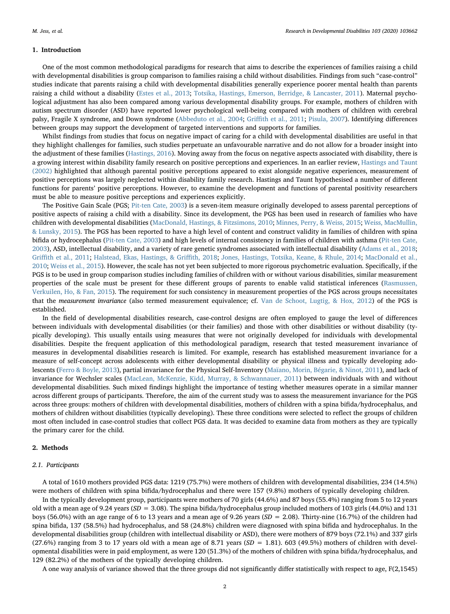## 1. Introduction

One of the most common methodological paradigms for research that aims to describe the experiences of families raising a child with developmental disabilities is group comparison to families raising a child without disabilities. Findings from such "case-control" studies indicate that parents raising a child with developmental disabilities generally experience poorer mental health than parents raising a child without a disability [\(Estes et al., 2013;](#page-5-0) [Totsika, Hastings, Emerson, Berridge, & Lancaster, 2011\)](#page-6-1). Maternal psychological adjustment has also been compared among various developmental disability groups. For example, mothers of children with autism spectrum disorder (ASD) have reported lower psychological well-being compared with mothers of children with cerebral palsy, Fragile X syndrome, and Down syndrome [\(Abbeduto et al., 2004;](#page-5-1) Griffi[th et al., 2011;](#page-6-2) [Pisula, 2007\)](#page-6-3). Identifying differences between groups may support the development of targeted interventions and supports for families.

Whilst findings from studies that focus on negative impact of caring for a child with developmental disabilities are useful in that they highlight challenges for families, such studies perpetuate an unfavourable narrative and do not allow for a broader insight into the adjustment of these families [\(Hastings, 2016\)](#page-6-4). Moving away from the focus on negative aspects associated with disability, there is a growing interest within disability family research on positive perceptions and experiences. In an earlier review, [Hastings and Taunt](#page-6-5) [\(2002\)](#page-6-5) highlighted that although parental positive perceptions appeared to exist alongside negative experiences, measurement of positive perceptions was largely neglected within disability family research. Hastings and Taunt hypothesised a number of different functions for parents' positive perceptions. However, to examine the development and functions of parental positivity researchers must be able to measure positive perceptions and experiences explicitly.

The Positive Gain Scale (PGS; [Pit-ten Cate, 2003](#page-6-0)) is a seven-item measure originally developed to assess parental perceptions of positive aspects of raising a child with a disability. Since its development, the PGS has been used in research of families who have children with developmental disabilities ([MacDonald, Hastings, & Fitzsimons, 2010](#page-6-6); [Minnes, Perry, & Weiss, 2015;](#page-6-7) [Weiss, MacMullin,](#page-6-8) [& Lunsky, 2015](#page-6-8)). The PGS has been reported to have a high level of content and construct validity in families of children with spina bifida or hydrocephalus ([Pit-ten Cate, 2003\)](#page-6-0) and high levels of internal consistency in families of children with asthma ([Pit-ten Cate,](#page-6-0) [2003\)](#page-6-0), ASD, intellectual disability, and a variety of rare genetic syndromes associated with intellectual disability ([Adams et al., 2018;](#page-5-2) Griffi[th et al., 2011;](#page-6-2) [Halstead, Ekas, Hastings, & Gri](#page-6-9)ffith, 2018; [Jones, Hastings, Totsika, Keane, & Rhule, 2014](#page-6-10); [MacDonald et al.,](#page-6-6) [2010;](#page-6-6) [Weiss et al., 2015\)](#page-6-8). However, the scale has not yet been subjected to more rigorous psychometric evaluation. Specifically, if the PGS is to be used in group comparison studies including families of children with or without various disabilities, similar measurement properties of the scale must be present for these different groups of parents to enable valid statistical inferences ([Rasmussen,](#page-6-11) [Verkuilen, Ho, & Fan, 2015\)](#page-6-11). The requirement for such consistency in measurement properties of the PGS across groups necessitates that the measurement invariance (also termed measurement equivalence; cf. [Van de Schoot, Lugtig, & Hox, 2012](#page-6-12)) of the PGS is established.

In the field of developmental disabilities research, case-control designs are often employed to gauge the level of differences between individuals with developmental disabilities (or their families) and those with other disabilities or without disability (typically developing). This usually entails using measures that were not originally developed for individuals with developmental disabilities. Despite the frequent application of this methodological paradigm, research that tested measurement invariance of measures in developmental disabilities research is limited. For example, research has established measurement invariance for a measure of self-concept across adolescents with either developmental disability or physical illness and typically developing adolescents [\(Ferro & Boyle, 2013](#page-6-13)), partial invariance for the Physical Self-Inventory ([Maïano, Morin, Bégarie, & Ninot, 2011\)](#page-6-14), and lack of invariance for Wechsler scales ([MacLean, McKenzie, Kidd, Murray, & Schwannauer, 2011\)](#page-6-15) between individuals with and without developmental disabilities. Such mixed findings highlight the importance of testing whether measures operate in a similar manner across different groups of participants. Therefore, the aim of the current study was to assess the measurement invariance for the PGS across three groups: mothers of children with developmental disabilities, mothers of children with a spina bifida/hydrocephalus, and mothers of children without disabilities (typically developing). These three conditions were selected to reflect the groups of children most often included in case-control studies that collect PGS data. It was decided to examine data from mothers as they are typically the primary carer for the child.

## 2. Methods

#### 2.1. Participants

A total of 1610 mothers provided PGS data: 1219 (75.7%) were mothers of children with developmental disabilities, 234 (14.5%) were mothers of children with spina bifida/hydrocephalus and there were 157 (9.8%) mothers of typically developing children.

In the typically development group, participants were mothers of 70 girls (44.6%) and 87 boys (55.4%) ranging from 5 to 12 years old with a mean age of 9.24 years ( $SD = 3.08$ ). The spina bifida/hydrocephalus group included mothers of 103 girls (44.0%) and 131 boys (56.0%) with an age range of 6 to 13 years and a mean age of 9.26 years ( $SD = 2.08$ ). Thirty-nine (16.7%) of the children had spina bifida, 137 (58.5%) had hydrocephalus, and 58 (24.8%) children were diagnosed with spina bifida and hydrocephalus. In the developmental disabilities group (children with intellectual disability or ASD), there were mothers of 879 boys (72.1%) and 337 girls (27.6%) ranging from 3 to 17 years old with a mean age of 8.71 years ( $SD = 1.81$ ). 603 (49.5%) mothers of children with developmental disabilities were in paid employment, as were 120 (51.3%) of the mothers of children with spina bifida/hydrocephalus, and 129 (82.2%) of the mothers of the typically developing children.

A one way analysis of variance showed that the three groups did not significantly differ statistically with respect to age, F(2,1545)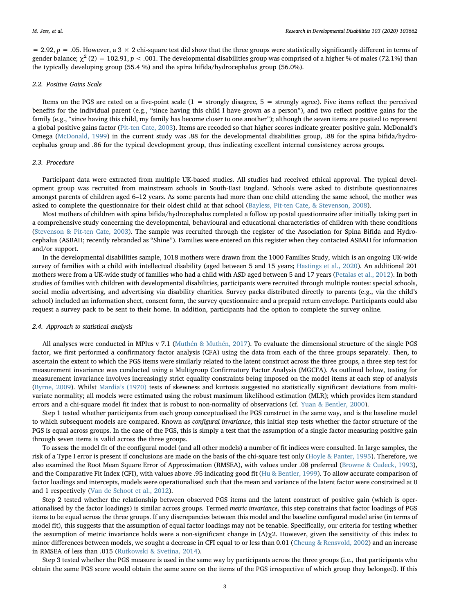= 2.92,  $p$  = .05. However, a 3  $\times$  2 chi-square test did show that the three groups were statistically significantly different in terms of gender balance;  $\chi^2$  (2) = 102.91, p < .001. The developmental disabilities group was comprised of a higher % of males (72.1%) than the typically developing group (55.4 %) and the spina bifida/hydrocephalus group (56.0%).

#### 2.2. Positive Gains Scale

Items on the PGS are rated on a five-point scale  $(1 =$  strongly disagree,  $5 =$  strongly agree). Five items reflect the perceived benefits for the individual parent (e.g., "since having this child I have grown as a person"), and two reflect positive gains for the family (e.g., "since having this child, my family has become closer to one another"); although the seven items are posited to represent a global positive gains factor ([Pit-ten Cate, 2003](#page-6-0)). Items are recoded so that higher scores indicate greater positive gain. McDonald's Omega ([McDonald, 1999](#page-6-16)) in the current study was .88 for the developmental disabilities group, .88 for the spina bifida/hydrocephalus group and .86 for the typical development group, thus indicating excellent internal consistency across groups.

#### 2.3. Procedure

Participant data were extracted from multiple UK-based studies. All studies had received ethical approval. The typical development group was recruited from mainstream schools in South-East England. Schools were asked to distribute questionnaires amongst parents of children aged 6–12 years. As some parents had more than one child attending the same school, the mother was asked to complete the questionnaire for their oldest child at that school ([Bayless, Pit-ten Cate, & Stevenson, 2008](#page-5-3)).

Most mothers of children with spina bifida/hydrocephalus completed a follow up postal questionnaire after initially taking part in a comprehensive study concerning the developmental, behavioural and educational characteristics of children with these conditions ([Stevenson & Pit-ten Cate, 2003](#page-6-17)). The sample was recruited through the register of the Association for Spina Bifida and Hydrocephalus (ASBAH; recently rebranded as "Shine"). Families were entered on this register when they contacted ASBAH for information and/or support.

In the developmental disabilities sample, 1018 mothers were drawn from the 1000 Families Study, which is an ongoing UK-wide survey of families with a child with intellectual disability (aged between 5 and 15 years; [Hastings et al., 2020\)](#page-6-18). An additional 201 mothers were from a UK-wide study of families who had a child with ASD aged between 5 and 17 years [\(Petalas et al., 2012\)](#page-6-19). In both studies of families with children with developmental disabilities, participants were recruited through multiple routes: special schools, social media advertising, and advertising via disability charities. Survey packs distributed directly to parents (e.g., via the child's school) included an information sheet, consent form, the survey questionnaire and a prepaid return envelope. Participants could also request a survey pack to be sent to their home. In addition, participants had the option to complete the survey online.

#### 2.4. Approach to statistical analysis

All analyses were conducted in MPlus v 7.1 ([Muthén & Muthén, 2017\)](#page-6-20). To evaluate the dimensional structure of the single PGS factor, we first performed a confirmatory factor analysis (CFA) using the data from each of the three groups separately. Then, to ascertain the extent to which the PGS items were similarly related to the latent construct across the three groups, a three step test for measurement invariance was conducted using a Multigroup Confirmatory Factor Analysis (MGCFA). As outlined below, testing for measurement invariance involves increasingly strict equality constraints being imposed on the model items at each step of analysis ([Byrne, 2009\)](#page-5-4). Whilst Mardia'[s \(1970\)](#page-6-21) tests of skewness and kurtosis suggested no statistically significant deviations from multivariate normality; all models were estimated using the robust maximum likelihood estimation (MLR); which provides item standard errors and a chi-square model fit index that is robust to non-normality of observations (cf. [Yuan & Bentler, 2000\)](#page-6-22).

Step 1 tested whether participants from each group conceptualised the PGS construct in the same way, and is the baseline model to which subsequent models are compared. Known as configural invariance, this initial step tests whether the factor structure of the PGS is equal across groups. In the case of the PGS, this is simply a test that the assumption of a single factor measuring positive gain through seven items is valid across the three groups.

To assess the model fit of the configural model (and all other models) a number of fit indices were consulted. In large samples, the risk of a Type I error is present if conclusions are made on the basis of the chi-square test only [\(Hoyle & Panter, 1995](#page-6-23)). Therefore, we also examined the Root Mean Square Error of Approximation (RMSEA), with values under .08 preferred ([Browne & Cudeck, 1993](#page-5-5)), and the Comparative Fit Index (CFI), with values above .95 indicating good fit ([Hu & Bentler, 1999](#page-6-24)). To allow accurate comparison of factor loadings and intercepts, models were operationalised such that the mean and variance of the latent factor were constrained at 0 and 1 respectively ([Van de Schoot et al., 2012](#page-6-12)).

Step 2 tested whether the relationship between observed PGS items and the latent construct of positive gain (which is operationalised by the factor loadings) is similar across groups. Termed metric invariance, this step constrains that factor loadings of PGS items to be equal across the three groups. If any discrepancies between this model and the baseline configural model arise (in terms of model fit), this suggests that the assumption of equal factor loadings may not be tenable. Specifically, our criteria for testing whether the assumption of metric invariance holds were a non-significant change in  $(\Delta)\chi$ 2. However, given the sensitivity of this index to minor differences between models, we sought a decrease in CFI equal to or less than 0.01 [\(Cheung & Rensvold, 2002\)](#page-5-6) and an increase in RMSEA of less than .015 [\(Rutkowski & Svetina, 2014](#page-6-25)).

Step 3 tested whether the PGS measure is used in the same way by participants across the three groups (i.e., that participants who obtain the same PGS score would obtain the same score on the items of the PGS irrespective of which group they belonged). If this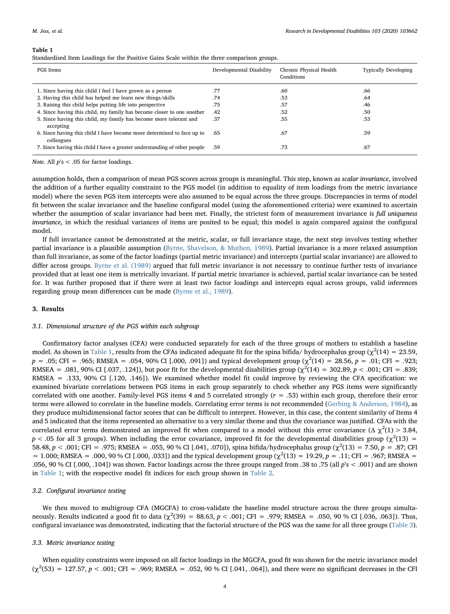<span id="page-3-0"></span>

| . .<br>п |  |
|----------|--|
|----------|--|

|  |  | Standardised Item Loadings for the Positive Gains Scale within the three comparison groups. |  |
|--|--|---------------------------------------------------------------------------------------------|--|
|  |  |                                                                                             |  |
|  |  |                                                                                             |  |
|  |  |                                                                                             |  |

| PGS Items                                                                            | Developmental Disability | Chronic Physical Health<br>Conditions | <b>Typically Developing</b> |
|--------------------------------------------------------------------------------------|--------------------------|---------------------------------------|-----------------------------|
| 1. Since having this child I feel I have grown as a person                           | .77                      | .60                                   | .66                         |
| 2. Having this child has helped me learn new things/skills                           | .74                      | .53                                   | .64                         |
| 3. Raising this child helps putting life into perspective                            | .75                      | .57                                   | .46                         |
| 4. Since having this child, my family has become closer to one another               | .42                      | .52                                   | .50                         |
| 5. Since having this child, my family has become more tolerant and<br>accepting      | .37                      | .55                                   | .53                         |
| 6. Since having this child I have become more determined to face up to<br>colleagues | .65                      | .67                                   | .59                         |
| 7. Since having this child I have a greater understanding of other people            | .59                      | .73                                   | .67                         |

Note. All  $p's < .05$  for factor loadings.

assumption holds, then a comparison of mean PGS scores across groups is meaningful. This step, known as scalar invariance, involved the addition of a further equality constraint to the PGS model (in addition to equality of item loadings from the metric invariance model) where the seven PGS item intercepts were also assumed to be equal across the three groups. Discrepancies in terms of model fit between the scalar invariance and the baseline configural model (using the aforementioned criteria) were examined to ascertain whether the assumption of scalar invariance had been met. Finally, the strictest form of measurement invariance is full uniqueness invariance, in which the residual variances of items are posited to be equal; this model is again compared against the configural model.

If full invariance cannot be demonstrated at the metric, scalar, or full invariance stage, the next step involves testing whether partial invariance is a plausible assumption ([Byrne, Shavelson, & Muthen, 1989\)](#page-5-7). Partial invariance is a more relaxed assumption than full invariance, as some of the factor loadings (partial metric invariance) and intercepts (partial scalar invariance) are allowed to differ across groups. [Byrne et al. \(1989\)](#page-5-7) argued that full metric invariance is not necessary to continue further tests of invariance provided that at least one item is metrically invariant. If partial metric invariance is achieved, partial scalar invariance can be tested for. It was further proposed that if there were at least two factor loadings and intercepts equal across groups, valid inferences regarding group mean differences can be made ([Byrne et al., 1989\)](#page-5-7).

## 3. Results

## 3.1. Dimensional structure of the PGS within each subgroup

Confirmatory factor analyses (CFA) were conducted separately for each of the three groups of mothers to establish a baseline model. As shown in [Table 1,](#page-3-0) results from the CFAs indicated adequate fit for the spina bifida/ hydrocephalus group ( $\chi^2(14) = 23.59$ ,  $p = .05$ ; CFI = .965; RMSEA = .054, 90% CI [.000, .091]) and typical development group ( $\chi^2(14) = 28.56$ ,  $p = .01$ ; CFI = .923; RMSEA = .081, 90% CI [.037, .124]), but poor fit for the developmental disabilities group ( $\chi^2(14) = 302.89, p < .001$ ; CFI = .839; RMSEA = .133, 90% CI [.120, .146]). We examined whether model fit could improve by reviewing the CFA specification: we examined bivariate correlations between PGS items in each group separately to check whether any PGS items were significantly correlated with one another. Family-level PGS items 4 and 5 correlated strongly  $(r = .53)$  within each group, therefore their error terms were allowed to correlate in the baseline models. Correlating error terms is not recommended ([Gerbing & Anderson, 1984\)](#page-6-26), as they produce multidimensional factor scores that can be difficult to interpret. However, in this case, the content similarity of Items 4 and 5 indicated that the items represented an alternative to a very similar theme and thus the covariance was justified. CFAs with the correlated error terms demonstrated an improved fit when compared to a model without this error covariance ( $\Delta \chi^2(1) > 3.84$ ,  $p < .05$  for all 3 groups). When including the error covariance, improved fit for the developmental disabilities group ( $\chi^2(13)$  = 58.48, p < .001; CFI = .975; RMSEA = .055, 90 % CI [.041, .070]), spina bifida/hydrocephalus group ( $\chi^2(13)$  = 7.50, p = .87; CFI = 1.000; RMSEA = .000, 90 % CI [.000, .033]) and the typical development group ( $\chi^2(13)$  = 19.29, p = .11; CFI = .967; RMSEA = .056, 90 % CI [.000, .104]) was shown. Factor loadings across the three groups ranged from .38 to .75 (all  $p's < .001$ ) and are shown in [Table 1](#page-3-0); with the respective model fit indices for each group shown in [Table 2.](#page-4-0)

## 3.2. Configural invariance testing

We then moved to multigroup CFA (MGCFA) to cross-validate the baseline model structure across the three groups simultaneously. Results indicated a good fit to data ( $\chi^2(39) = 88.63$ ,  $p < .001$ ; CFI = .979; RMSEA = .050, 90 % CI [.036, .063]). Thus, configural invariance was demonstrated, indicating that the factorial structure of the PGS was the same for all three groups ([Table 3\)](#page-4-1).

## 3.3. Metric invariance testing

When equality constraints were imposed on all factor loadings in the MGCFA, good fit was shown for the metric invariance model  $(\chi^2(53) = 127.57, p < .001;$  CFI = .969; RMSEA = .052, 90 % CI [.041, .064]), and there were no significant decreases in the CFI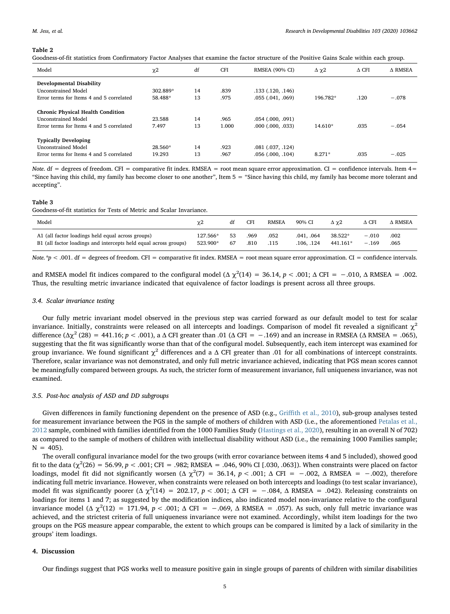## <span id="page-4-0"></span>Table 2

| Goodness-of-fit statistics from Confirmatory Factor Analyses that examine the factor structure of the Positive Gains Scale within each group. |  |  |
|-----------------------------------------------------------------------------------------------------------------------------------------------|--|--|
|                                                                                                                                               |  |  |

| Model                                    | $\chi$ <sup>2</sup> | df | <b>CFI</b> | <b>RMSEA (90% CI)</b> | $\Delta \gamma 2$ | $\Delta$ CFI | A RMSEA |
|------------------------------------------|---------------------|----|------------|-----------------------|-------------------|--------------|---------|
| <b>Developmental Disability</b>          |                     |    |            |                       |                   |              |         |
| <b>Unconstrained Model</b>               | 302.889*            | 14 | .839       | $.133$ $(.120, .146)$ |                   |              |         |
| Error terms for Items 4 and 5 correlated | 58.488*             | 13 | .975       | .055(.041, .069)      | 196.782*          | .120         | $-.078$ |
| <b>Chronic Physical Health Condition</b> |                     |    |            |                       |                   |              |         |
| <b>Unconstrained Model</b>               | 23.588              | 14 | .965       | $.054$ $(.000, .091)$ |                   |              |         |
| Error terms for Items 4 and 5 correlated | 7.497               | 13 | 1.000      | $.000$ $(.000, .033)$ | $14.610*$         | .035         | $-.054$ |
| <b>Typically Developing</b>              |                     |    |            |                       |                   |              |         |
| <b>Unconstrained Model</b>               | 28.560*             | 14 | .923       | $.081$ $(.037, .124)$ |                   |              |         |
| Error terms for Items 4 and 5 correlated | 19.293              | 13 | .967       | $.056$ $(.000, .104)$ | $8.271*$          | .035         | $-.025$ |

Note. df = degrees of freedom. CFI = comparative fit index. RMSEA = root mean square error approximation. CI = confidence intervals. Item 4= "Since having this child, my family has become closer to one another", Item 5 = "Since having this child, my family has become more tolerant and accepting".

#### <span id="page-4-1"></span>Table 3

Goodness-of-fit statistics for Tests of Metric and Scalar Invariance.

| Model                                                            | $\chi$ <sup>2</sup> | đt | CFI  | <b>RMSEA</b> | 90% CI     | Δγ2      | $\Delta$ CFI | $\Delta$ RMSEA |
|------------------------------------------------------------------|---------------------|----|------|--------------|------------|----------|--------------|----------------|
| A1 (all factor loadings held equal across groups)                | 127.566*            | 53 | .969 | .052         | .041. .064 | 38.522*  | $-.010$      | .002           |
| B1 (all factor loadings and intercepts held equal across groups) | 523.900*            | 67 | .810 | .115         | .106. .124 | 441.161* | $-.169$      | .065           |

Note.\*p < .001. df = degrees of freedom. CFI = comparative fit index. RMSEA = root mean square error approximation. CI = confidence intervals.

and RMSEA model fit indices compared to the configural model ( $\Delta \chi^2(14) = 36.14$ ,  $p < .001$ ;  $\Delta$  CFI = -.010,  $\Delta$  RMSEA = .002. Thus, the resulting metric invariance indicated that equivalence of factor loadings is present across all three groups.

## 3.4. Scalar invariance testing

Our fully metric invariant model observed in the previous step was carried forward as our default model to test for scalar invariance. Initially, constraints were released on all intercepts and loadings. Comparison of model fit revealed a significant  $\chi^2$ difference ( $\Delta \chi^2$  (28) = 441.16; p < .001), a  $\Delta$  CFI greater than .01 ( $\Delta$  CFI = -.169) and an increase in RMSEA ( $\Delta$  RMSEA = .065), suggesting that the fit was significantly worse than that of the configural model. Subsequently, each item intercept was examined for group invariance. We found significant  $χ²$  differences and a Δ CFI greater than .01 for all combinations of intercept constraints. Therefore, scalar invariance was not demonstrated, and only full metric invariance achieved, indicating that PGS mean scores cannot be meaningfully compared between groups. As such, the stricter form of measurement invariance, full uniqueness invariance, was not examined.

## 3.5. Post-hoc analysis of ASD and DD subgroups

Given differences in family functioning dependent on the presence of ASD (e.g., Griffi[th et al., 2010\)](#page-6-27), sub-group analyses tested for measurement invariance between the PGS in the sample of mothers of children with ASD (i.e., the aforementioned [Petalas et al.,](#page-6-19) [2012](#page-6-19) sample, combined with families identified from the 1000 Families Study [\(Hastings et al., 2020\)](#page-6-18), resulting in an overall N of 702) as compared to the sample of mothers of children with intellectual disability without ASD (i.e., the remaining 1000 Families sample;  $N = 405$ ).

The overall configural invariance model for the two groups (with error covariance between items 4 and 5 included), showed good fit to the data ( $\chi^2$ (26) = 56.99, *p* < .001; CFI = .982; RMSEA = .046, 90% CI [.030, .063]). When constraints were placed on factor loadings, model fit did not significantly worsen ( $\Delta \chi^2(7) = 36.14$ ,  $p < .001$ ;  $\Delta$  CFI = -.002,  $\Delta$  RMSEA = -.002), therefore indicating full metric invariance. However, when constraints were released on both intercepts and loadings (to test scalar invariance), model fit was significantly poorer ( $\Delta \chi^2(14) = 202.17$ ,  $p < .001$ ;  $\Delta$  CFI = -.084,  $\Delta$  RMSEA = .042). Releasing constraints on loadings for items 1 and 7; as suggested by the modification indices, also indicated model non-invariance relative to the configural invariance model (Δ  $\chi^2(12) = 171.94$ ,  $p < .001$ ; Δ CFI = -.069, Δ RMSEA = .057). As such, only full metric invariance was achieved, and the strictest criteria of full uniqueness invariance were not examined. Accordingly, whilst item loadings for the two groups on the PGS measure appear comparable, the extent to which groups can be compared is limited by a lack of similarity in the groups' item loadings.

## 4. Discussion

Our findings suggest that PGS works well to measure positive gain in single groups of parents of children with similar disabilities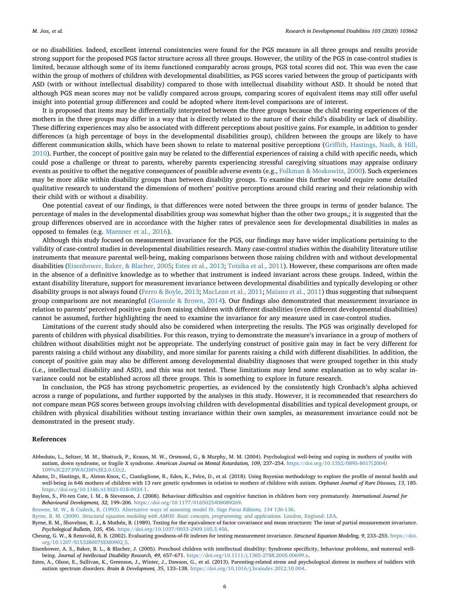or no disabilities. Indeed, excellent internal consistencies were found for the PGS measure in all three groups and results provide strong support for the proposed PGS factor structure across all three groups. However, the utility of the PGS in case-control studies is limited, because although some of its items functioned comparably across groups, PGS total scores did not. This was even the case within the group of mothers of children with developmental disabilities, as PGS scores varied between the group of participants with ASD (with or without intellectual disability) compared to those with intellectual disability without ASD. It should be noted that although PGS mean scores may not be validly compared across groups, comparing scores of equivalent items may still offer useful insight into potential group differences and could be adopted where item-level comparisons are of interest.

It is proposed that items may be differentially interpreted between the three groups because the child rearing experiences of the mothers in the three groups may differ in a way that is directly related to the nature of their child's disability or lack of disability. These differing experiences may also be associated with different perceptions about positive gains. For example, in addition to gender differences (a high percentage of boys in the developmental disabilities group), children between the groups are likely to have different communication skills, which have been shown to relate to maternal positive perceptions (Griffi[th, Hastings, Nash, & Hill,](#page-6-27) [2010\)](#page-6-27). Further, the concept of positive gain may be related to the differential experiences of raising a child with specific needs, which could pose a challenge or threat to parents, whereby parents experiencing stressful caregiving situations may appraise ordinary events as positive to offset the negative consequences of possible adverse events (e.g., [Folkman & Moskowitz, 2000](#page-6-28)). Such experiences may be more alike within disability groups than between disability groups. To examine this further would require some detailed qualitative research to understand the dimensions of mothers' positive perceptions around child rearing and their relationship with their child with or without a disability.

One potential caveat of our findings, is that differences were noted between the three groups in terms of gender balance. The percentage of males in the developmental disabilities group was somewhat higher than the other two groups,; it is suggested that the group differences observed are in accordance with the higher rates of prevalence seen for developmental disabilities in males as opposed to females (e.g. [Maenner et al., 2016\)](#page-6-29).

Although this study focused on measurement invariance for the PGS, our findings may have wider implications pertaining to the validity of case-control studies in developmental disabilities research. Many case-control studies within the disability literature utilise instruments that measure parental well-being, making comparisons between those raising children with and without developmental disabilities ([Eisenhower, Baker, & Blacher, 2005;](#page-5-8) [Estes et al., 2013;](#page-5-0) [Totsika et al., 2011](#page-6-1)). However, these comparisons are often made in the absence of a definitive knowledge as to whether that instrument is indeed invariant across these groups. Indeed, within the extant disability literature, support for measurement invariance between developmental disabilities and typically developing or other disability groups is not always found [\(Ferro & Boyle, 2013](#page-6-13); [MacLean et al., 2011;](#page-6-15) [Maïano et al., 2011](#page-6-14)) thus suggesting that subsequent group comparisons are not meaningful ([Guenole & Brown, 2014\)](#page-6-30). Our findings also demonstrated that measurement invariance in relation to parents' perceived positive gain from raising children with different disabilities (even different developmental disabilities) cannot be assumed, further highlighting the need to examine the invariance for any measure used in case-control studies.

Limitations of the current study should also be considered when interpreting the results. The PGS was originally developed for parents of children with physical disabilities. For this reason, trying to demonstrate the measure's invariance in a group of mothers of children without disabilities might not be appropriate. The underlying construct of positive gain may in fact be very different for parents raising a child without any disability, and more similar for parents raising a child with different disabilities. In addition, the concept of positive gain may also be different among developmental disability diagnoses that were grouped together in this study (i.e., intellectual disability and ASD), and this was not tested. These limitations may lend some explanation as to why scalar invariance could not be established across all three groups. This is something to explore in future research.

In conclusion, the PGS has strong psychometric properties, as evidenced by the consistently high Cronbach's alpha achieved across a range of populations, and further supported by the analyses in this study. However, it is recommended that researchers do not compare mean PGS scores between groups involving children with developmental disabilities and typical development groups, or children with physical disabilities without testing invariance within their own samples, as measurement invariance could not be demonstrated in the present study.

#### References

- <span id="page-5-1"></span>Abbeduto, L., Seltzer, M. M., Shattuck, P., Krauss, M. W., Orsmond, G., & Murphy, M. M. (2004). Psychological well-being and coping in mothers of youths with autism, down syndrome, or fragile X syndrome. American Journal on Mental Retardation, 109, 237–254. [https://doi.org/10.1352/0895-8017\(2004\)](https://doi.org/10.1352/0895-8017(2004)109%3C237:PWACIM%3E2.0.CO;2) [109%3C237:PWACIM%3E2.0.CO;2.](https://doi.org/10.1352/0895-8017(2004)109%3C237:PWACIM%3E2.0.CO;2)
- <span id="page-5-2"></span>Adams, D., Hastings, R., Alston-Knox, C., Cianfaglione, R., Eden, K., Felce, D., et al. (2018). Using Bayesian methodology to explore the profile of mental health and well-being in 646 mothers of children with 13 rare genetic syndromes in relation to mothers of children with autism. Orphanet Journal of Rare Diseases, 13, 185. <https://doi.org/10.1186/s13023-018-0924-1>.
- <span id="page-5-3"></span>Bayless, S., Pit-ten Cate, I. M., & Stevenson, J. (2008). Behaviour difficulties and cognitive function in children born very prematurely. International Journal for Behavioural Development, 32, 199–206. [https://doi.org/10.1177/0165025408089269.](https://doi.org/10.1177/0165025408089269)
- <span id="page-5-5"></span>[Browne, M. W., & Cudeck, R. \(1993\). Alternative ways of assessing model](http://refhub.elsevier.com/S0891-4222(20)30092-5/sbref0020) fit. Sage Focus Editions, 154 136-136.
- <span id="page-5-4"></span>Byrne, B. M. (2009). [Structural equation modeling with AMOS: Basic concepts, programming, and applications.](http://refhub.elsevier.com/S0891-4222(20)30092-5/sbref0025) London, England: LEA.
- <span id="page-5-7"></span>Byrne, B. M., Shavelson, R. J., & Muthén, B. (1989). Testing for the equivalence of factor covariance and mean structures: The issue of partial measurement invariance. Psychological Bulletin, 105, 456. <https://doi.org/10.1037/0033-2909.105.3.456>.
- <span id="page-5-6"></span>Cheung, G. W., & Rensvold, R. B. (2002). Evaluating goodness-of-fit indexes for testing measurement invariance. Structural Equation Modeling, 9, 233–255. [https://doi.](https://doi.org/10.1207/S15328007SEM0902_5) [org/10.1207/S15328007SEM0902\\_5.](https://doi.org/10.1207/S15328007SEM0902_5)
- <span id="page-5-8"></span>Eisenhower, A. S., Baker, B. L., & Blacher, J. (2005). Preschool children with intellectual disability: Syndrome specificity, behaviour problems, and maternal wellbeing. Journal of Intellectual Disability Research, 49, 657-671. <https://doi.org/10.1111/j.1365-2788.2005.00699.x>.

<span id="page-5-0"></span>Estes, A., Olson, E., Sullivan, K., Greenson, J., Winter, J., Dawson, G., et al. (2013). Parenting-related stress and psychological distress in mothers of toddlers with autism spectrum disorders. Brain & Development, 35, 133–138. [https://doi.org/10.1016/j.braindev.2012.10.004.](https://doi.org/10.1016/j.braindev.2012.10.004)